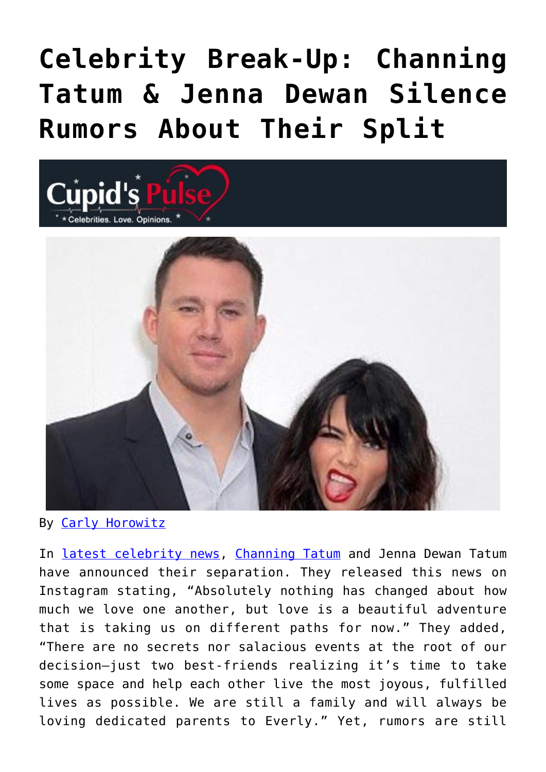## **[Celebrity Break-Up: Channing](https://cupidspulse.com/123983/celebrity-break-up-channing-tatum-jenna-dewan-silence-rumors-about-split/) [Tatum & Jenna Dewan Silence](https://cupidspulse.com/123983/celebrity-break-up-channing-tatum-jenna-dewan-silence-rumors-about-split/) [Rumors About Their Split](https://cupidspulse.com/123983/celebrity-break-up-channing-tatum-jenna-dewan-silence-rumors-about-split/)**



By [Carly Horowitz](http://cupidspulse.com/122831/carly-horowitz/)

**Cupid's** 

In [latest celebrity news,](http://cupidspulse.com) [Channing Tatum](http://cupidspulse.com/87041/channing-tatum/) and Jenna Dewan Tatum have announced their separation. They released this news on Instagram stating, "Absolutely nothing has changed about how much we love one another, but love is a beautiful adventure that is taking us on different paths for now." They added, "There are no secrets nor salacious events at the root of our decision—just two best-friends realizing it's time to take some space and help each other live the most joyous, fulfilled lives as possible. We are still a family and will always be loving dedicated parents to Everly." Yet, rumors are still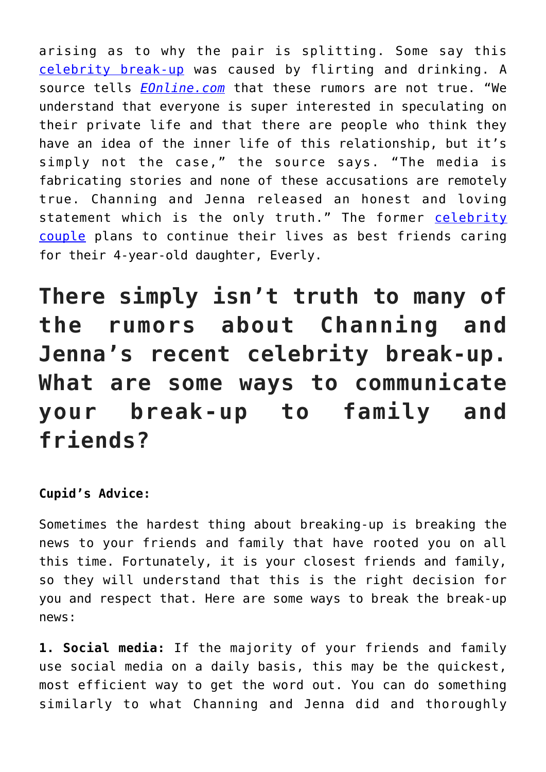arising as to why the pair is splitting. Some say this [celebrity break-up](http://cupidspulse.com/celebrity-news/celebrity-break-ups/) was caused by flirting and drinking. A source tells *[EOnline.com](http://www.eonline.com/news/925535/channing-tatum-and-jenna-dewan-silence-rumors-about-their-split)* that these rumors are not true. "We understand that everyone is super interested in speculating on their private life and that there are people who think they have an idea of the inner life of this relationship, but it's simply not the case," the source says. "The media is fabricating stories and none of these accusations are remotely true. Channing and Jenna released an honest and loving statement which is the only truth." The former [celebrity](http://cupidspulse.com/celebrity-news/celebrity-dating/) [couple](http://cupidspulse.com/celebrity-news/celebrity-dating/) plans to continue their lives as best friends caring for their 4-year-old daughter, Everly.

**There simply isn't truth to many of the rumors about Channing and Jenna's recent celebrity break-up. What are some ways to communicate your break-up to family and friends?**

## **Cupid's Advice:**

Sometimes the hardest thing about breaking-up is breaking the news to your friends and family that have rooted you on all this time. Fortunately, it is your closest friends and family, so they will understand that this is the right decision for you and respect that. Here are some ways to break the break-up news:

**1. Social media:** If the majority of your friends and family use social media on a daily basis, this may be the quickest, most efficient way to get the word out. You can do something similarly to what Channing and Jenna did and thoroughly